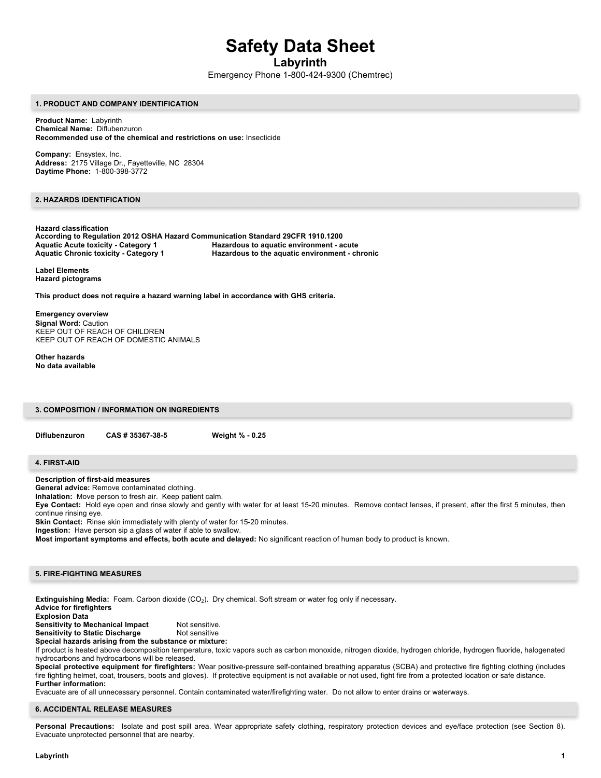# **Safety Data Sheet**

**Labyrinth**

Emergency Phone 1-800-424-9300 (Chemtrec)

#### **1. PRODUCT AND COMPANY IDENTIFICATION**

**Product Name:** Labyrinth **Chemical Name:** Diflubenzuron **Recommended use of the chemical and restrictions on use:** Insecticide

**Company:** Ensystex, Inc. **Address:** 2175 Village Dr., Fayetteville, NC 28304 **Daytime Phone:** 1-800-398-3772

# **2. HAZARDS IDENTIFICATION**

**Hazard classification According to Regulation 2012 OSHA Hazard Communication Standard 29CFR 1910.1200 Aquatic Acute toxicity - Category 1 Hazardous to aquatic environment - acute Aquatic Chronic toxicity - Category 1 Hazardous to the aquatic environment - chronic**

**Label Elements Hazard pictograms**

**This product does not require a hazard warning label in accordance with GHS criteria.**

**Emergency overview Signal Word:** Caution KEEP OUT OF REACH OF CHILDREN KEEP OUT OF REACH OF DOMESTIC ANIMALS

**Other hazards No data available**

**3. COMPOSITION / INFORMATION ON INGREDIENTS**

**Diflubenzuron CAS # 35367-38-5 Weight % - 0.25**

## **4. FIRST-AID**

**Description of first-aid measures**

**General advice:** Remove contaminated clothing.

**Inhalation:** Move person to fresh air. Keep patient calm.

**Eye Contact:** Hold eye open and rinse slowly and gently with water for at least 15-20 minutes. Remove contact lenses, if present, after the first 5 minutes, then continue rinsing eye.

**Skin Contact:** Rinse skin immediately with plenty of water for 15-20 minutes.

**Ingestion:** Have person sip a glass of water if able to swallow.

**Most important symptoms and effects, both acute and delayed:** No significant reaction of human body to product is known.

# **5. FIRE-FIGHTING MEASURES**

**Extinguishing Media:** Foam. Carbon dioxide (CO2). Dry chemical. Soft stream or water fog only if necessary. **Advice for firefighters**

**Explosion Data**

**Sensitivity to Mechanical Impact** Not sensitive.<br>**Sensitivity to Static Discharge** Not sensitive **Sensitivity to Static Discharge Special hazards arising from the substance or mixture:** 

If product is heated above decomposition temperature, toxic vapors such as carbon monoxide, nitrogen dioxide, hydrogen chloride, hydrogen fluoride, halogenated hydrocarbons and hydrocarbons will be released.

**Special protective equipment for firefighters:** Wear positive-pressure self-contained breathing apparatus (SCBA) and protective fire fighting clothing (includes fire fighting helmet, coat, trousers, boots and gloves). If protective equipment is not available or not used, fight fire from a protected location or safe distance. **Further information:**

Evacuate are of all unnecessary personnel. Contain contaminated water/firefighting water. Do not allow to enter drains or waterways.

#### **6. ACCIDENTAL RELEASE MEASURES**

Personal Precautions: Isolate and post spill area. Wear appropriate safety clothing, respiratory protection devices and eye/face protection (see Section 8). Evacuate unprotected personnel that are nearby.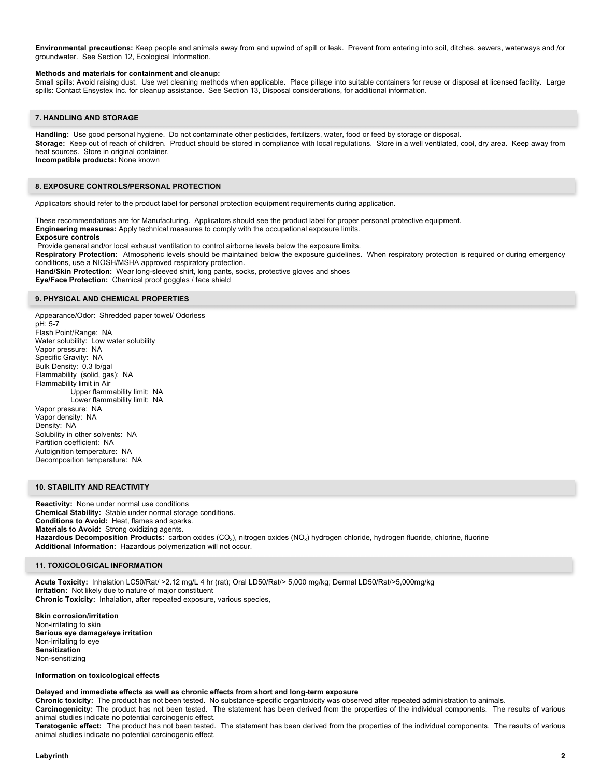**Environmental precautions:** Keep people and animals away from and upwind of spill or leak. Prevent from entering into soil, ditches, sewers, waterways and /or groundwater. See Section 12, Ecological Information.

#### **Methods and materials for containment and cleanup:**

Small spills: Avoid raising dust. Use wet cleaning methods when applicable. Place pillage into suitable containers for reuse or disposal at licensed facility. Large spills: Contact Ensystex Inc. for cleanup assistance. See Section 13, Disposal considerations, for additional information.

## **7. HANDLING AND STORAGE**

**Handling:** Use good personal hygiene. Do not contaminate other pesticides, fertilizers, water, food or feed by storage or disposal. **Storage:** Keep out of reach of children. Product should be stored in compliance with local regulations. Store in a well ventilated, cool, dry area. Keep away from heat sources. Store in original container. **Incompatible products:** None known

#### **8. EXPOSURE CONTROLS/PERSONAL PROTECTION**

Applicators should refer to the product label for personal protection equipment requirements during application.

These recommendations are for Manufacturing. Applicators should see the product label for proper personal protective equipment. **Engineering measures:** Apply technical measures to comply with the occupational exposure limits. **Exposure controls** Provide general and/or local exhaust ventilation to control airborne levels below the exposure limits.

**Respiratory Protection:** Atmospheric levels should be maintained below the exposure guidelines. When respiratory protection is required or during emergency conditions, use a NIOSH/MSHA approved respiratory protection.

**Hand/Skin Protection:** Wear long-sleeved shirt, long pants, socks, protective gloves and shoes

**Eye/Face Protection:** Chemical proof goggles / face shield

## **9. PHYSICAL AND CHEMICAL PROPERTIES**

Appearance/Odor: Shredded paper towel/ Odorless pH: 5-7 Flash Point/Range: NA Water solubility: Low water solubility Vapor pressure: NA Specific Gravity: NA Bulk Density: 0.3 lb/gal Flammability (solid, gas): NA Flammability limit in Air Upper flammability limit: NA Lower flammability limit: NA Vapor pressure: NA Vapor density: NA Density: NA Solubility in other solvents: NA Partition coefficient: NA Autoignition temperature: NA Decomposition temperature: NA

## **10. STABILITY AND REACTIVITY**

**Reactivity:** None under normal use conditions **Chemical Stability:** Stable under normal storage conditions. **Conditions to Avoid:** Heat, flames and sparks. **Materials to Avoid:** Strong oxidizing agents. Hazardous Decomposition Products: carbon oxides (CO<sub>x</sub>), nitrogen oxides (NO<sub>x</sub>) hydrogen chloride, hydrogen fluoride, chlorine, fluorine **Additional Information:** Hazardous polymerization will not occur.

## **11. TOXICOLOGICAL INFORMATION**

**Acute Toxicity:** Inhalation LC50/Rat/ >2.12 mg/L 4 hr (rat); Oral LD50/Rat/> 5,000 mg/kg; Dermal LD50/Rat/>5,000mg/kg **Irritation:** Not likely due to nature of major constituent **Chronic Toxicity:** Inhalation, after repeated exposure, various species,

**Skin corrosion/irritation** Non-irritating to skin **Serious eye damage/eye irritation** Non-irritating to eye **Sensitization** Non-sensitizing

#### **Information on toxicological effects**

#### **Delayed and immediate effects as well as chronic effects from short and long-term exposure**

**Chronic toxicity:** The product has not been tested. No substance-specific organtoxicity was observed after repeated administration to animals. **Carcinogenicity:** The product has not been tested. The statement has been derived from the properties of the individual components. The results of various animal studies indicate no potential carcinogenic effect.

**Teratogenic effect:** The product has not been tested. The statement has been derived from the properties of the individual components. The results of various animal studies indicate no potential carcinogenic effect.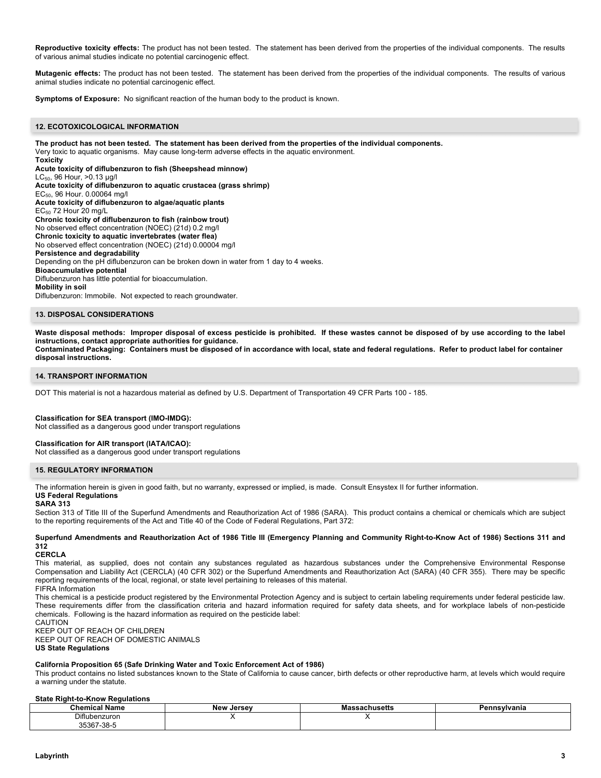**Reproductive toxicity effects:** The product has not been tested. The statement has been derived from the properties of the individual components. The results of various animal studies indicate no potential carcinogenic effect.

**Mutagenic effects:** The product has not been tested. The statement has been derived from the properties of the individual components. The results of various animal studies indicate no potential carcinogenic effect.

**Symptoms of Exposure:** No significant reaction of the human body to the product is known.

## **12. ECOTOXICOLOGICAL INFORMATION**

**The product has not been tested. The statement has been derived from the properties of the individual components.**  Very toxic to aquatic organisms. May cause long-term adverse effects in the aquatic environment. **Toxicity**

**Acute toxicity of diflubenzuron to fish (Sheepshead minnow)** LC50, 96 Hour, >0.13 µg/l **Acute toxicity of diflubenzuron to aquatic crustacea (grass shrimp)** EC50, 96 Hour. 0.00064 mg/l **Acute toxicity of diflubenzuron to algae/aquatic plants**  $EC_{50}$  72 Hour 20 mg/L **Chronic toxicity of diflubenzuron to fish (rainbow trout)** No observed effect concentration (NOEC) (21d) 0.2 mg/l **Chronic toxicity to aquatic invertebrates (water flea)** No observed effect concentration (NOEC) (21d) 0.00004 mg/l **Persistence and degradability** Depending on the pH diflubenzuron can be broken down in water from 1 day to 4 weeks. **Bioaccumulative potential** Diflubenzuron has little potential for bioaccumulation. **Mobility in soil** Diflubenzuron: Immobile. Not expected to reach groundwater.

## **13. DISPOSAL CONSIDERATIONS**

**Waste disposal methods: Improper disposal of excess pesticide is prohibited. If these wastes cannot be disposed of by use according to the label instructions, contact appropriate authorities for guidance. Contaminated Packaging: Containers must be disposed of in accordance with local, state and federal regulations. Refer to product label for container** 

**disposal instructions.**

## **14. TRANSPORT INFORMATION**

DOT This material is not a hazardous material as defined by U.S. Department of Transportation 49 CFR Parts 100 - 185.

#### **Classification for SEA transport (IMO-IMDG):**

Not classified as a dangerous good under transport regulations

## **Classification for AIR transport (IATA/ICAO):**

Not classified as a dangerous good under transport regulations

#### **15. REGULATORY INFORMATION**

The information herein is given in good faith, but no warranty, expressed or implied, is made. Consult Ensystex II for further information.

#### **US Federal Regulations SARA 313**

Section 313 of Title III of the Superfund Amendments and Reauthorization Act of 1986 (SARA). This product contains a chemical or chemicals which are subject to the reporting requirements of the Act and Title 40 of the Code of Federal Regulations, Part 372:

### **Superfund Amendments and Reauthorization Act of 1986 Title III (Emergency Planning and Community Right-to-Know Act of 1986) Sections 311 and 312**

#### **CERCLA**

This material, as supplied, does not contain any substances regulated as hazardous substances under the Comprehensive Environmental Response Compensation and Liability Act (CERCLA) (40 CFR 302) or the Superfund Amendments and Reauthorization Act (SARA) (40 CFR 355). There may be specific reporting requirements of the local, regional, or state level pertaining to releases of this material.

FIFRA Information This chemical is a pesticide product registered by the Environmental Protection Agency and is subject to certain labeling requirements under federal pesticide law. These requirements differ from the classification criteria and hazard information required for safety data sheets, and for workplace labels of non-pesticide chemicals. Following is the hazard information as required on the pesticide label:

CAUTION KEEP OUT OF REACH OF CHILDREN KEEP OUT OF REACH OF DOMESTIC ANIMALS

## **US State Regulations**

## **California Proposition 65 (Safe Drinking Water and Toxic Enforcement Act of 1986)**

This product contains no listed substances known to the State of California to cause cancer, birth defects or other reproductive harm, at levels which would require a warning under the statute.

#### **State Right-to-Know Regulations**

| Name<br>ншса                | ۱۸۵۱۸٬<br>loreov | nuseus | anıa<br>᠁ |
|-----------------------------|------------------|--------|-----------|
| Diflubenzuron<br>.          |                  |        |           |
| oroc.<br>ົ7-38-ພ<br>- 33397 |                  |        |           |